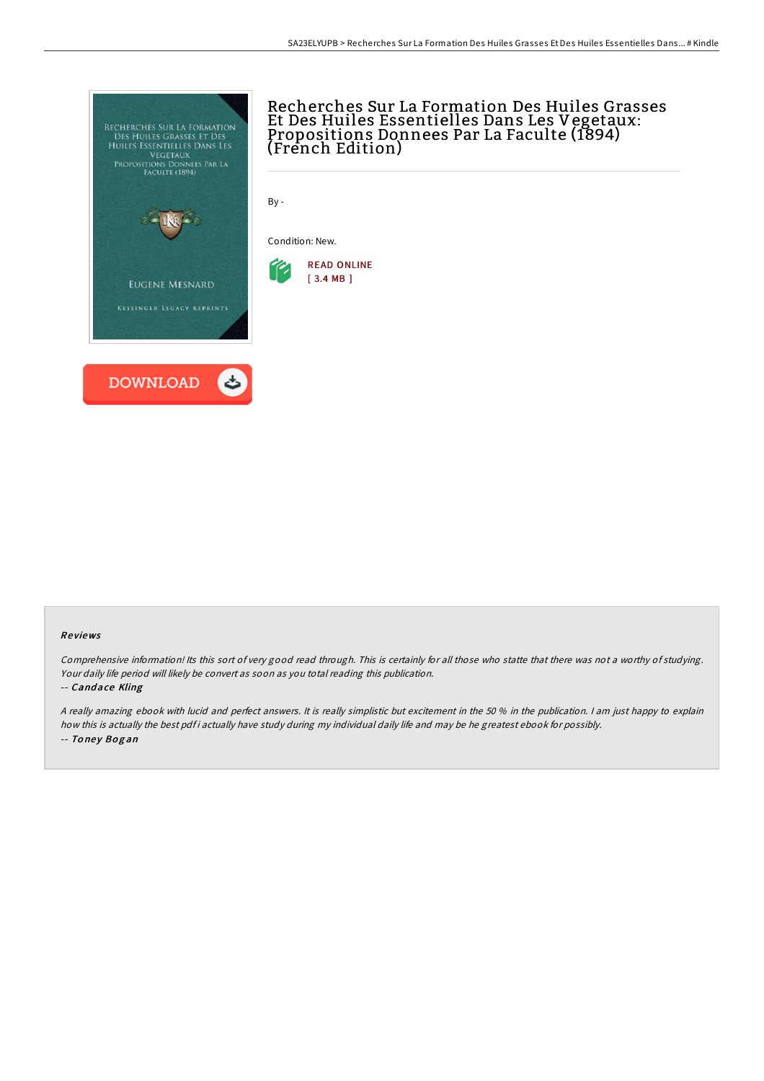

# Recherches Sur La Formation Des Huiles Grasses Et Des Huiles Essentielles Dans Les Vegetaux: Propositions Donnees Par La Faculte (1894) (French Edition)

By -

Condition: New.



### Re views

Comprehensive information! Its this sort of very good read through. This is certainly for all those who statte that there was not <sup>a</sup> worthy of studying. Your daily life period will likely be convert as soon as you total reading this publication.

#### -- Cand ace Kling

<sup>A</sup> really amazing ebook with lucid and perfect answers. It is really simplistic but excitement in the 50 % in the publication. <sup>I</sup> am just happy to explain how this is actually the best pdfi actually have study during my individual daily life and may be he greatest ebook for possibly. -- Toney Bogan